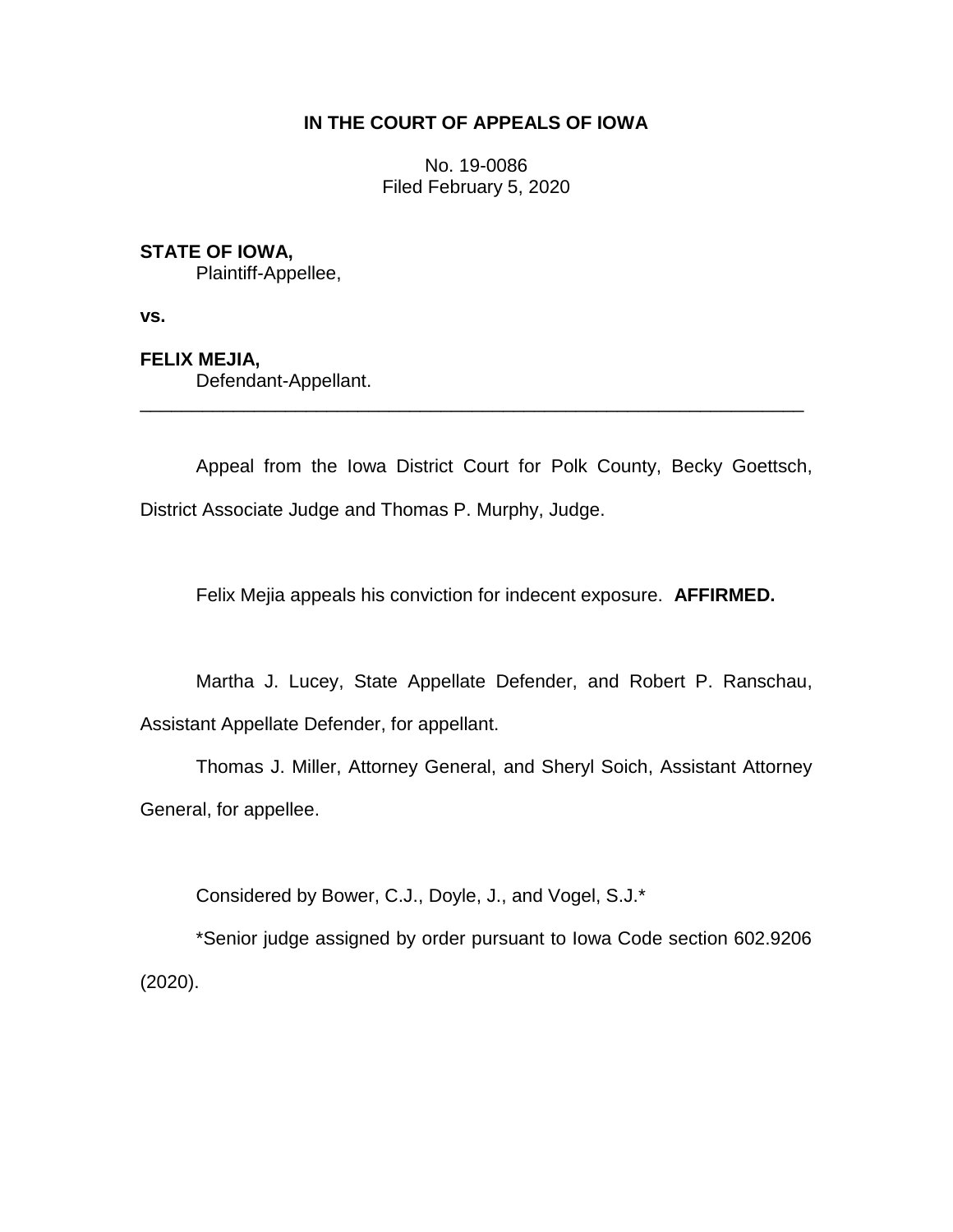# **IN THE COURT OF APPEALS OF IOWA**

No. 19-0086 Filed February 5, 2020

## **STATE OF IOWA,**

Plaintiff-Appellee,

**vs.**

### **FELIX MEJIA,**

Defendant-Appellant.

Appeal from the Iowa District Court for Polk County, Becky Goettsch, District Associate Judge and Thomas P. Murphy, Judge.

\_\_\_\_\_\_\_\_\_\_\_\_\_\_\_\_\_\_\_\_\_\_\_\_\_\_\_\_\_\_\_\_\_\_\_\_\_\_\_\_\_\_\_\_\_\_\_\_\_\_\_\_\_\_\_\_\_\_\_\_\_\_\_\_

Felix Mejia appeals his conviction for indecent exposure. **AFFIRMED.**

Martha J. Lucey, State Appellate Defender, and Robert P. Ranschau, Assistant Appellate Defender, for appellant.

Thomas J. Miller, Attorney General, and Sheryl Soich, Assistant Attorney General, for appellee.

Considered by Bower, C.J., Doyle, J., and Vogel, S.J.\*

\*Senior judge assigned by order pursuant to Iowa Code section 602.9206 (2020).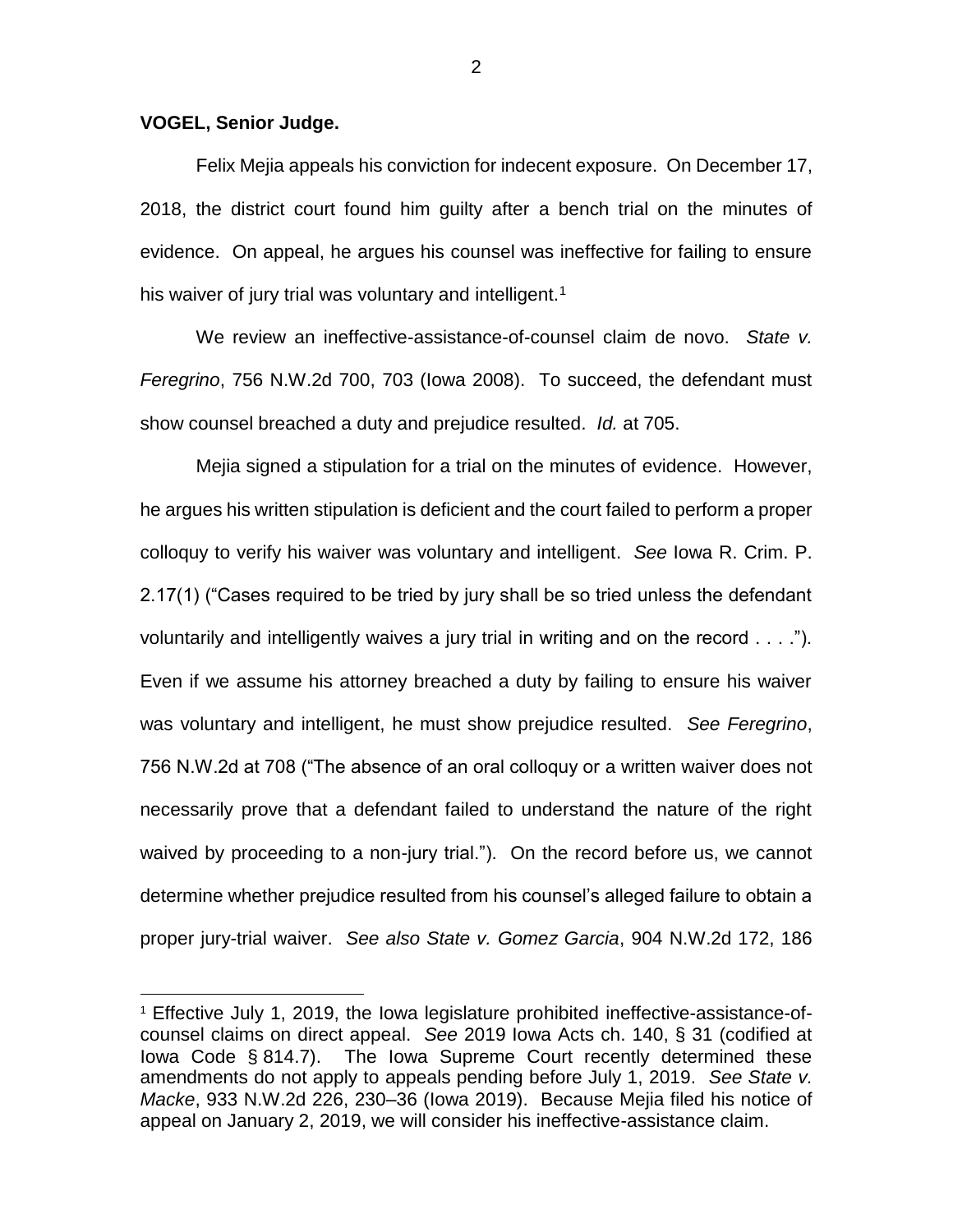#### **VOGEL, Senior Judge.**

 $\overline{a}$ 

Felix Mejia appeals his conviction for indecent exposure. On December 17, 2018, the district court found him guilty after a bench trial on the minutes of evidence. On appeal, he argues his counsel was ineffective for failing to ensure his waiver of jury trial was voluntary and intelligent.<sup>1</sup>

We review an ineffective-assistance-of-counsel claim de novo. *State v. Feregrino*, 756 N.W.2d 700, 703 (Iowa 2008). To succeed, the defendant must show counsel breached a duty and prejudice resulted. *Id.* at 705.

Mejia signed a stipulation for a trial on the minutes of evidence. However, he argues his written stipulation is deficient and the court failed to perform a proper colloquy to verify his waiver was voluntary and intelligent. *See* Iowa R. Crim. P. 2.17(1) ("Cases required to be tried by jury shall be so tried unless the defendant voluntarily and intelligently waives a jury trial in writing and on the record . . . ."). Even if we assume his attorney breached a duty by failing to ensure his waiver was voluntary and intelligent, he must show prejudice resulted. *See Feregrino*, 756 N.W.2d at 708 ("The absence of an oral colloquy or a written waiver does not necessarily prove that a defendant failed to understand the nature of the right waived by proceeding to a non-jury trial."). On the record before us, we cannot determine whether prejudice resulted from his counsel's alleged failure to obtain a proper jury-trial waiver. *See also State v. Gomez Garcia*, 904 N.W.2d 172, 186

<sup>1</sup> Effective July 1, 2019, the Iowa legislature prohibited ineffective-assistance-ofcounsel claims on direct appeal. *See* 2019 Iowa Acts ch. 140, § 31 (codified at Iowa Code § 814.7). The Iowa Supreme Court recently determined these amendments do not apply to appeals pending before July 1, 2019. *See State v. Macke*, 933 N.W.2d 226, 230–36 (Iowa 2019). Because Mejia filed his notice of appeal on January 2, 2019, we will consider his ineffective-assistance claim.